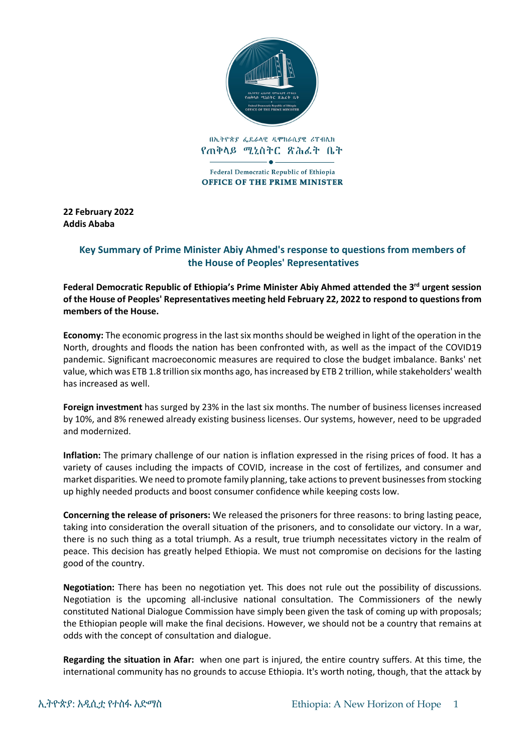

በኢትዮጵያ ፌዴራላዊ ዲሞክራሲያዊ ሪፐብሊክ የጠቅላይ ሚኒስትር ጽሕፈት ቤት

Federal Democratic Republic of Ethiopia **OFFICE OF THE PRIME MINISTER** 

**22 February 2022 Addis Ababa**

## **Key Summary of Prime Minister Abiy Ahmed's response to questions from members of the House of Peoples' Representatives**

**Federal Democratic Republic of Ethiopia's Prime Minister Abiy Ahmed attended the 3rd urgent session of the House of Peoples' Representatives meeting held February 22, 2022 to respond to questions from members of the House.** 

**Economy:** The economic progress in the last six months should be weighed in light of the operation in the North, droughts and floods the nation has been confronted with, as well as the impact of the COVID19 pandemic. Significant macroeconomic measures are required to close the budget imbalance. Banks' net value, which was ETB 1.8 trillion six months ago, has increased by ETB 2 trillion, while stakeholders' wealth has increased as well.

**Foreign investment** has surged by 23% in the last six months. The number of business licenses increased by 10%, and 8% renewed already existing business licenses. Our systems, however, need to be upgraded and modernized.

**Inflation:** The primary challenge of our nation is inflation expressed in the rising prices of food. It has a variety of causes including the impacts of COVID, increase in the cost of fertilizes, and consumer and market disparities. We need to promote family planning, take actions to prevent businesses from stocking up highly needed products and boost consumer confidence while keeping costs low.

**Concerning the release of prisoners:** We released the prisoners for three reasons: to bring lasting peace, taking into consideration the overall situation of the prisoners, and to consolidate our victory. In a war, there is no such thing as a total triumph. As a result, true triumph necessitates victory in the realm of peace. This decision has greatly helped Ethiopia. We must not compromise on decisions for the lasting good of the country.

**Negotiation:** There has been no negotiation yet. This does not rule out the possibility of discussions. Negotiation is the upcoming all-inclusive national consultation. The Commissioners of the newly constituted National Dialogue Commission have simply been given the task of coming up with proposals; the Ethiopian people will make the final decisions. However, we should not be a country that remains at odds with the concept of consultation and dialogue.

**Regarding the situation in Afar:** when one part is injured, the entire country suffers. At this time, the international community has no grounds to accuse Ethiopia. It's worth noting, though, that the attack by